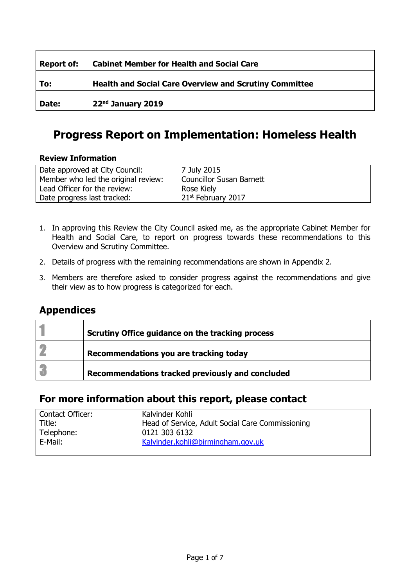| <b>Report of:</b> | <b>Cabinet Member for Health and Social Care</b>              |
|-------------------|---------------------------------------------------------------|
| To:               | <b>Health and Social Care Overview and Scrutiny Committee</b> |
| Date:             | 22nd January 2019                                             |

### **Progress Report on Implementation: Homeless Health**

#### **Review Information**

| Date approved at City Council:      | 7 July 2015                     |
|-------------------------------------|---------------------------------|
| Member who led the original review: | <b>Councillor Susan Barnett</b> |
| Lead Officer for the review:        | Rose Kiely                      |
| Date progress last tracked:         | 21 <sup>st</sup> February 2017  |

- 1. In approving this Review the City Council asked me, as the appropriate Cabinet Member for Health and Social Care, to report on progress towards these recommendations to this Overview and Scrutiny Committee.
- 2. Details of progress with the remaining recommendations are shown in Appendix 2.
- 3. Members are therefore asked to consider progress against the recommendations and give their view as to how progress is categorized for each.

### **Appendices**

| Scrutiny Office guidance on the tracking process |
|--------------------------------------------------|
| Recommendations you are tracking today           |
| Recommendations tracked previously and concluded |

### **For more information about this report, please contact**

| Kalvinder Kohli                                  |
|--------------------------------------------------|
| Head of Service, Adult Social Care Commissioning |
| 0121 303 6132                                    |
| Kalvinder.kohli@birmingham.gov.uk                |
|                                                  |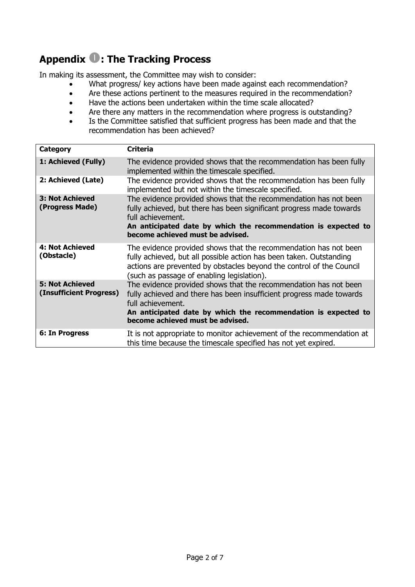## **Appendix : The Tracking Process**

In making its assessment, the Committee may wish to consider:

- What progress/ key actions have been made against each recommendation?
- Are these actions pertinent to the measures required in the recommendation?
- Have the actions been undertaken within the time scale allocated?
- Are there any matters in the recommendation where progress is outstanding?
- Is the Committee satisfied that sufficient progress has been made and that the recommendation has been achieved?

| <b>Category</b>                                   | <b>Criteria</b>                                                                                                                                                                                                                                                     |
|---------------------------------------------------|---------------------------------------------------------------------------------------------------------------------------------------------------------------------------------------------------------------------------------------------------------------------|
| 1: Achieved (Fully)                               | The evidence provided shows that the recommendation has been fully<br>implemented within the timescale specified.                                                                                                                                                   |
| 2: Achieved (Late)                                | The evidence provided shows that the recommendation has been fully<br>implemented but not within the timescale specified.                                                                                                                                           |
| <b>3: Not Achieved</b><br>(Progress Made)         | The evidence provided shows that the recommendation has not been<br>fully achieved, but there has been significant progress made towards<br>full achievement.<br>An anticipated date by which the recommendation is expected to<br>become achieved must be advised. |
| <b>4: Not Achieved</b><br>(Obstacle)              | The evidence provided shows that the recommendation has not been<br>fully achieved, but all possible action has been taken. Outstanding<br>actions are prevented by obstacles beyond the control of the Council<br>(such as passage of enabling legislation).       |
| <b>5: Not Achieved</b><br>(Insufficient Progress) | The evidence provided shows that the recommendation has not been<br>fully achieved and there has been insufficient progress made towards<br>full achievement.<br>An anticipated date by which the recommendation is expected to<br>become achieved must be advised. |
| 6: In Progress                                    | It is not appropriate to monitor achievement of the recommendation at<br>this time because the timescale specified has not yet expired.                                                                                                                             |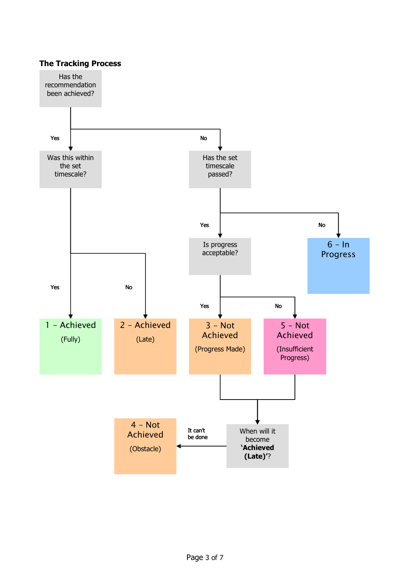#### **The Tracking Process**

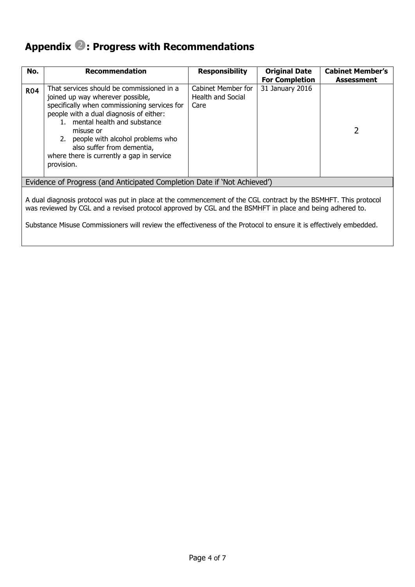## **Appendix : Progress with Recommendations**

| No.                                                                                                                                                                                                                                                                                                                                               | <b>Recommendation</b>                                                                                                                                                                                                                                                                                                                                   | <b>Responsibility</b>                                  | <b>Original Date</b>  | <b>Cabinet Member's</b> |
|---------------------------------------------------------------------------------------------------------------------------------------------------------------------------------------------------------------------------------------------------------------------------------------------------------------------------------------------------|---------------------------------------------------------------------------------------------------------------------------------------------------------------------------------------------------------------------------------------------------------------------------------------------------------------------------------------------------------|--------------------------------------------------------|-----------------------|-------------------------|
|                                                                                                                                                                                                                                                                                                                                                   |                                                                                                                                                                                                                                                                                                                                                         |                                                        | <b>For Completion</b> | Assessment              |
| <b>R04</b>                                                                                                                                                                                                                                                                                                                                        | That services should be commissioned in a<br>joined up way wherever possible,<br>specifically when commissioning services for<br>people with a dual diagnosis of either:<br>1. mental health and substance<br>misuse or<br>2. people with alcohol problems who<br>also suffer from dementia,<br>where there is currently a gap in service<br>provision. | Cabinet Member for<br><b>Health and Social</b><br>Care | 31 January 2016       | 2                       |
|                                                                                                                                                                                                                                                                                                                                                   | Evidence of Progress (and Anticipated Completion Date if 'Not Achieved')                                                                                                                                                                                                                                                                                |                                                        |                       |                         |
| A dual diagnosis protocol was put in place at the commencement of the CGL contract by the BSMHFT. This protocol<br>was reviewed by CGL and a revised protocol approved by CGL and the BSMHFT in place and being adhered to.<br>Substance Misuse Commissioners will review the effectiveness of the Protocol to ensure it is effectively embedded. |                                                                                                                                                                                                                                                                                                                                                         |                                                        |                       |                         |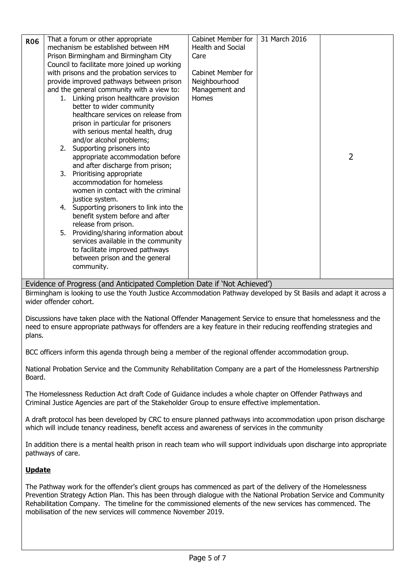| <b>R06</b> |                                                                          | That a forum or other appropriate                                 | Cabinet Member for | 31 March 2016 |                |  |
|------------|--------------------------------------------------------------------------|-------------------------------------------------------------------|--------------------|---------------|----------------|--|
|            |                                                                          | mechanism be established between HM                               | Health and Social  |               |                |  |
|            |                                                                          | Prison Birmingham and Birmingham City                             | Care               |               |                |  |
|            |                                                                          | Council to facilitate more joined up working                      |                    |               |                |  |
|            |                                                                          | with prisons and the probation services to                        | Cabinet Member for |               |                |  |
|            |                                                                          | provide improved pathways between prison                          | Neighbourhood      |               |                |  |
|            |                                                                          | and the general community with a view to:                         | Management and     |               |                |  |
|            |                                                                          | 1. Linking prison healthcare provision                            | Homes              |               |                |  |
|            |                                                                          | better to wider community                                         |                    |               |                |  |
|            |                                                                          | healthcare services on release from                               |                    |               |                |  |
|            |                                                                          | prison in particular for prisoners                                |                    |               |                |  |
|            |                                                                          | with serious mental health, drug                                  |                    |               |                |  |
|            |                                                                          | and/or alcohol problems;                                          |                    |               |                |  |
|            |                                                                          | 2. Supporting prisoners into                                      |                    |               |                |  |
|            |                                                                          | appropriate accommodation before                                  |                    |               | $\overline{2}$ |  |
|            |                                                                          | and after discharge from prison;                                  |                    |               |                |  |
|            | 3.                                                                       | Prioritising appropriate                                          |                    |               |                |  |
|            |                                                                          | accommodation for homeless                                        |                    |               |                |  |
|            |                                                                          | women in contact with the criminal                                |                    |               |                |  |
|            |                                                                          | justice system.                                                   |                    |               |                |  |
|            |                                                                          | 4. Supporting prisoners to link into the                          |                    |               |                |  |
|            |                                                                          | benefit system before and after                                   |                    |               |                |  |
|            | 5.                                                                       | release from prison.                                              |                    |               |                |  |
|            |                                                                          | Providing/sharing information about                               |                    |               |                |  |
|            |                                                                          | services available in the community                               |                    |               |                |  |
|            |                                                                          | to facilitate improved pathways<br>between prison and the general |                    |               |                |  |
|            |                                                                          |                                                                   |                    |               |                |  |
|            |                                                                          | community.                                                        |                    |               |                |  |
|            | Evidence of Progress (and Anticipated Completion Date if 'Not Achieved') |                                                                   |                    |               |                |  |

Evidence of Progress (and Anticipated Completion Date if 'Not Achieved') Birmingham is looking to use the Youth Justice Accommodation Pathway developed by St Basils and adapt it across a wider offender cohort.

Discussions have taken place with the National Offender Management Service to ensure that homelessness and the need to ensure appropriate pathways for offenders are a key feature in their reducing reoffending strategies and plans.

BCC officers inform this agenda through being a member of the regional offender accommodation group.

National Probation Service and the Community Rehabilitation Company are a part of the Homelessness Partnership Board.

The Homelessness Reduction Act draft Code of Guidance includes a whole chapter on Offender Pathways and Criminal Justice Agencies are part of the Stakeholder Group to ensure effective implementation.

A draft protocol has been developed by CRC to ensure planned pathways into accommodation upon prison discharge which will include tenancy readiness, benefit access and awareness of services in the community

In addition there is a mental health prison in reach team who will support individuals upon discharge into appropriate pathways of care.

#### **Update**

The Pathway work for the offender's client groups has commenced as part of the delivery of the Homelessness Prevention Strategy Action Plan. This has been through dialogue with the National Probation Service and Community Rehabilitation Company. The timeline for the commissioned elements of the new services has commenced. The mobilisation of the new services will commence November 2019.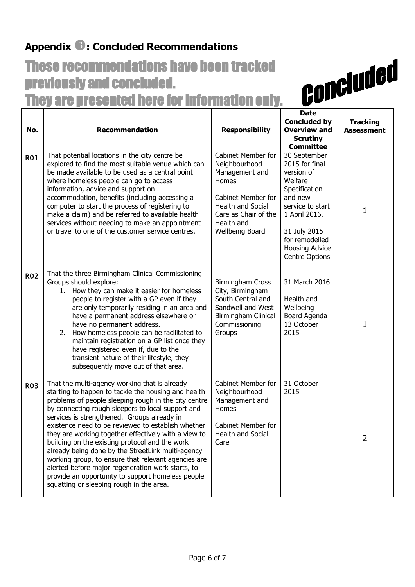## **Appendix : Concluded Recommendations**

# These recommendations have been tracked previously and concluded. They are presented here for information only.

| No.        | <b>Recommendation</b>                                                                                                                                                                                                                                                                                                                                                                                                                                                                                                                                                                                                                                                                              | <b>Responsibility</b>                                                                                                                                                                   | <b>Date</b><br><b>Concluded by</b><br><b>Overview and</b><br><b>Scrutiny</b><br><b>Committee</b>                                                                                                      | <b>Tracking</b><br><b>Assessment</b> |
|------------|----------------------------------------------------------------------------------------------------------------------------------------------------------------------------------------------------------------------------------------------------------------------------------------------------------------------------------------------------------------------------------------------------------------------------------------------------------------------------------------------------------------------------------------------------------------------------------------------------------------------------------------------------------------------------------------------------|-----------------------------------------------------------------------------------------------------------------------------------------------------------------------------------------|-------------------------------------------------------------------------------------------------------------------------------------------------------------------------------------------------------|--------------------------------------|
| <b>R01</b> | That potential locations in the city centre be<br>explored to find the most suitable venue which can<br>be made available to be used as a central point<br>where homeless people can go to access<br>information, advice and support on<br>accommodation, benefits (including accessing a<br>computer to start the process of registering to<br>make a claim) and be referred to available health<br>services without needing to make an appointment<br>or travel to one of the customer service centres.                                                                                                                                                                                          | <b>Cabinet Member for</b><br>Neighbourhood<br>Management and<br>Homes<br><b>Cabinet Member for</b><br><b>Health and Social</b><br>Care as Chair of the<br>Health and<br>Wellbeing Board | 30 September<br>2015 for final<br>version of<br>Welfare<br>Specification<br>and new<br>service to start<br>1 April 2016.<br>31 July 2015<br>for remodelled<br><b>Housing Advice</b><br>Centre Options | 1                                    |
| <b>R02</b> | That the three Birmingham Clinical Commissioning<br>Groups should explore:<br>1. How they can make it easier for homeless<br>people to register with a GP even if they<br>are only temporarily residing in an area and<br>have a permanent address elsewhere or<br>have no permanent address.<br>How homeless people can be facilitated to<br>2.<br>maintain registration on a GP list once they<br>have registered even if, due to the<br>transient nature of their lifestyle, they<br>subsequently move out of that area.                                                                                                                                                                        | <b>Birmingham Cross</b><br>City, Birmingham<br>South Central and<br>Sandwell and West<br>Birmingham Clinical<br>Commissioning<br>Groups                                                 | 31 March 2016<br>Health and<br>Wellbeing<br>Board Agenda<br>13 October<br>2015                                                                                                                        | 1                                    |
| <b>R03</b> | That the multi-agency working that is already<br>starting to happen to tackle the housing and health<br>problems of people sleeping rough in the city centre<br>by connecting rough sleepers to local support and<br>services is strengthened. Groups already in<br>existence need to be reviewed to establish whether<br>they are working together effectively with a view to<br>building on the existing protocol and the work<br>already being done by the StreetLink multi-agency<br>working group, to ensure that relevant agencies are<br>alerted before major regeneration work starts, to<br>provide an opportunity to support homeless people<br>squatting or sleeping rough in the area. | <b>Cabinet Member for</b><br>Neighbourhood<br>Management and<br>Homes<br>Cabinet Member for<br>Health and Social<br>Care                                                                | 31 October<br>2015                                                                                                                                                                                    | $\overline{2}$                       |